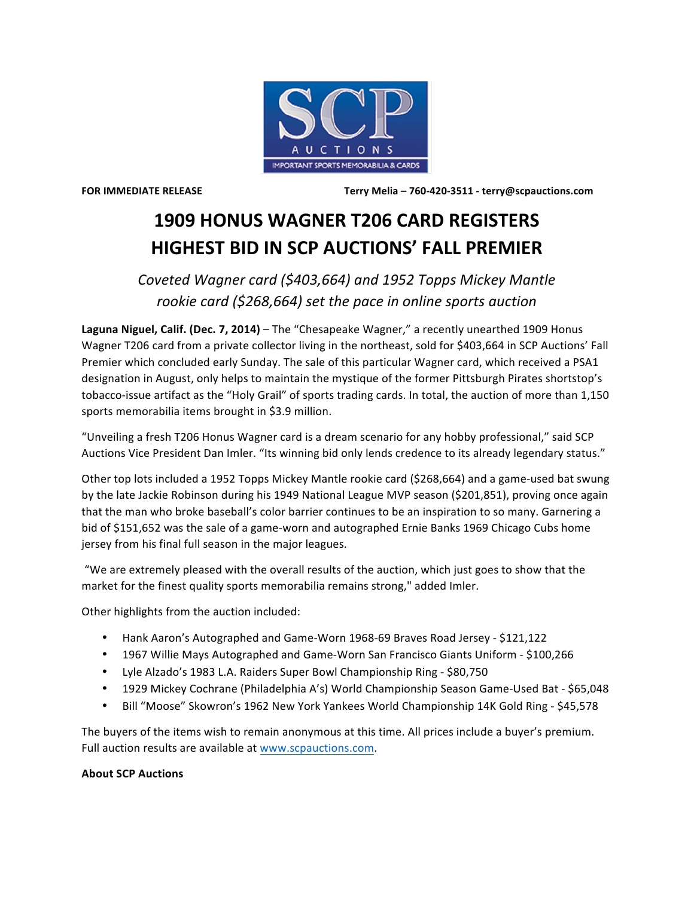

**FOR IMMEDIATE RELEASE Terry Melia – 760-420-3511 - terry@scpauctions.com**

## **1909 HONUS WAGNER T206 CARD REGISTERS HIGHEST BID IN SCP AUCTIONS' FALL PREMIER**

Coveted Wagner card (\$403,664) and 1952 Topps Mickey Mantle *rookie card* (\$268,664) set the pace in online sports auction

Laguna Niguel, Calif. (Dec. 7, 2014) – The "Chesapeake Wagner," a recently unearthed 1909 Honus Wagner T206 card from a private collector living in the northeast, sold for \$403,664 in SCP Auctions' Fall Premier which concluded early Sunday. The sale of this particular Wagner card, which received a PSA1 designation in August, only helps to maintain the mystique of the former Pittsburgh Pirates shortstop's tobacco-issue artifact as the "Holy Grail" of sports trading cards. In total, the auction of more than 1,150 sports memorabilia items brought in \$3.9 million.

"Unveiling a fresh T206 Honus Wagner card is a dream scenario for any hobby professional," said SCP Auctions Vice President Dan Imler. "Its winning bid only lends credence to its already legendary status."

Other top lots included a 1952 Topps Mickey Mantle rookie card (\$268,664) and a game-used bat swung by the late Jackie Robinson during his 1949 National League MVP season (\$201,851), proving once again that the man who broke baseball's color barrier continues to be an inspiration to so many. Garnering a bid of \$151,652 was the sale of a game-worn and autographed Ernie Banks 1969 Chicago Cubs home jersey from his final full season in the major leagues.

"We are extremely pleased with the overall results of the auction, which just goes to show that the market for the finest quality sports memorabilia remains strong," added Imler.

Other highlights from the auction included:

- Hank Aaron's Autographed and Game-Worn 1968-69 Braves Road Jersey \$121,122
- 1967 Willie Mays Autographed and Game-Worn San Francisco Giants Uniform \$100,266
- Lyle Alzado's 1983 L.A. Raiders Super Bowl Championship Ring \$80,750
- 1929 Mickey Cochrane (Philadelphia A's) World Championship Season Game-Used Bat \$65,048
- Bill "Moose" Skowron's 1962 New York Yankees World Championship 14K Gold Ring \$45,578

The buyers of the items wish to remain anonymous at this time. All prices include a buyer's premium. Full auction results are available at www.scpauctions.com.

## **About SCP Auctions**